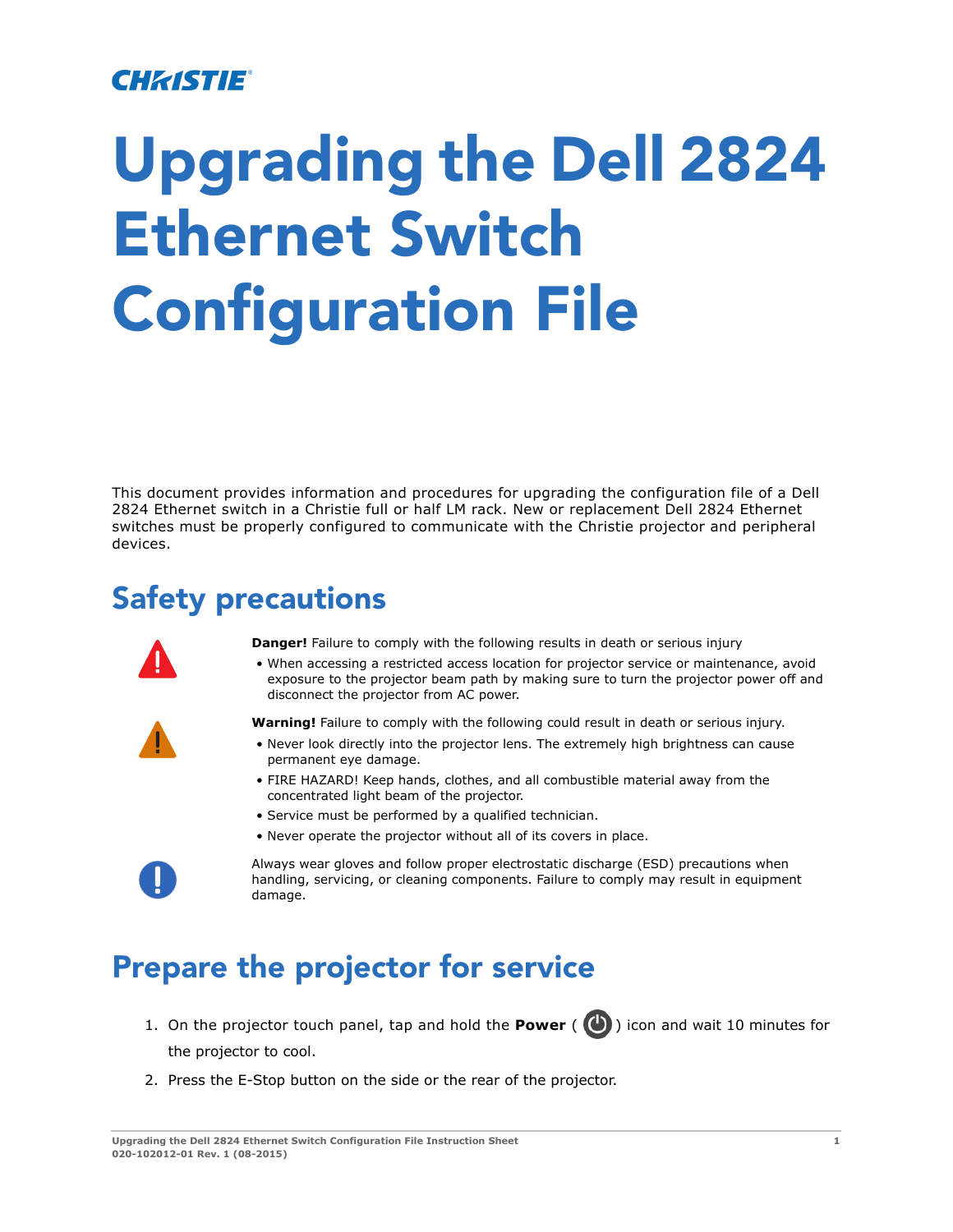#### CHRISTIE

# **Upgrading the Dell 2824 Ethernet Switch Configuration File**

This document provides information and procedures for upgrading the configuration file of a Dell 2824 Ethernet switch in a Christie full or half LM rack. New or replacement Dell 2824 Ethernet switches must be properly configured to communicate with the Christie projector and peripheral devices.

### **Safety precautions**



**Danger!** Failure to comply with the following results in death or serious injury

• When accessing a restricted access location for projector service or maintenance, avoid exposure to the projector beam path by making sure to turn the projector power off and disconnect the projector from AC power.

**Warning!** Failure to comply with the following could result in death or serious injury.

- Never look directly into the projector lens. The extremely high brightness can cause permanent eye damage.
- FIRE HAZARD! Keep hands, clothes, and all combustible material away from the concentrated light beam of the projector.
- Service must be performed by a qualified technician.
- Never operate the projector without all of its covers in place.



Always wear gloves and follow proper electrostatic discharge (ESD) precautions when handling, servicing, or cleaning components. Failure to comply may result in equipment damage.

### **Prepare the projector for service**

- 1. On the projector touch panel, tap and hold the **Power** ( $\bigcirc$ ) icon and wait 10 minutes for the projector to cool.
- 2. Press the E-Stop button on the side or the rear of the projector.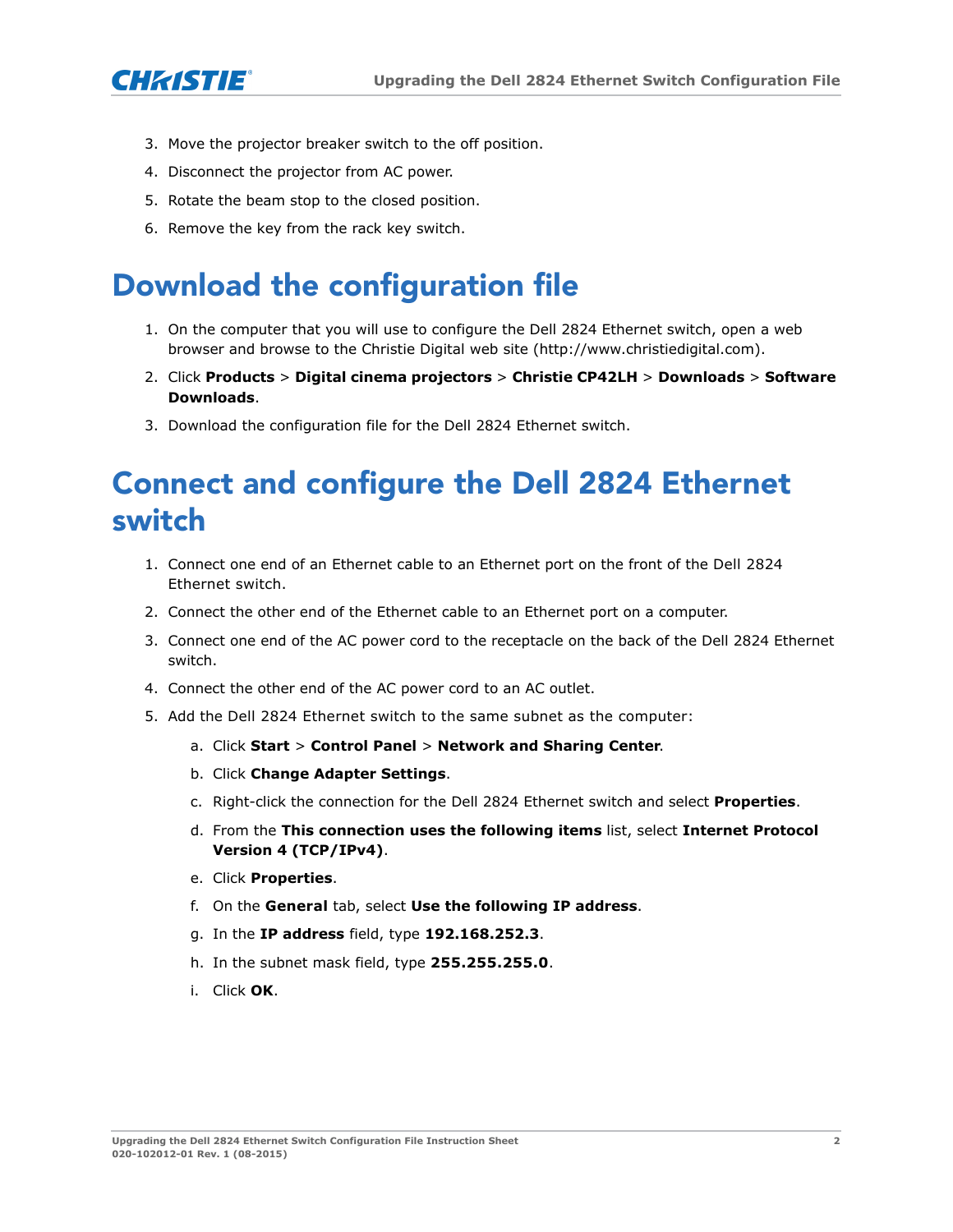

- 3. Move the projector breaker switch to the off position.
- 4. Disconnect the projector from AC power.
- 5. Rotate the beam stop to the closed position.
- 6. Remove the key from the rack key switch.

# **Download the configuration file**

- [1. On the computer that you will use to configure the Dell 2824 Ethernet switch, open a web](http://www.christiedigital.com)  browser and browse to the Christie Digital web site (http://www.christiedigital.com).
- 2. Click **Products** > **Digital cinema projectors** > **Christie CP42LH** > **Downloads** > **Software Downloads**.
- 3. Download the configuration file for the Dell 2824 Ethernet switch.

# **Connect and configure the Dell 2824 Ethernet switch**

- 1. Connect one end of an Ethernet cable to an Ethernet port on the front of the Dell 2824 Ethernet switch.
- 2. Connect the other end of the Ethernet cable to an Ethernet port on a computer.
- 3. Connect one end of the AC power cord to the receptacle on the back of the Dell 2824 Ethernet switch.
- 4. Connect the other end of the AC power cord to an AC outlet.
- 5. Add the Dell 2824 Ethernet switch to the same subnet as the computer:
	- a. Click **Start** > **Control Panel** > **Network and Sharing Center**.
	- b. Click **Change Adapter Settings**.
	- c. Right-click the connection for the Dell 2824 Ethernet switch and select **Properties**.
	- d. From the **This connection uses the following items** list, select **Internet Protocol Version 4 (TCP/IPv4)**.
	- e. Click **Properties**.
	- f. On the **General** tab, select **Use the following IP address**.
	- g. In the **IP address** field, type **192.168.252.3**.
	- h. In the subnet mask field, type **255.255.255.0**.
	- i. Click **OK**.